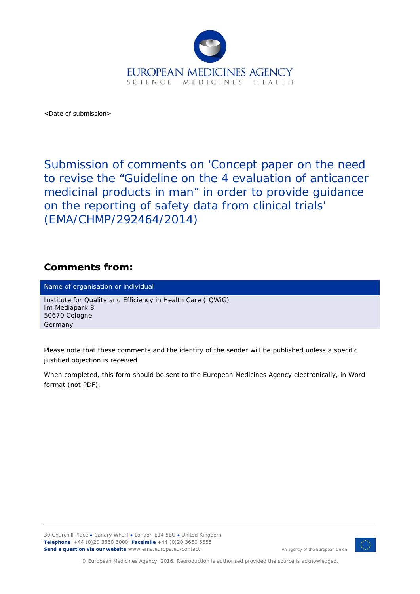

<Date of submission>

Submission of comments on 'Concept paper on the need to revise the "Guideline on the 4 evaluation of anticancer medicinal products in man" in order to provide guidance on the reporting of safety data from clinical trials' (EMA/CHMP/292464/2014)

## **Comments from:**

Name of organisation or individual

Institute for Quality and Efficiency in Health Care (IQWiG) Im Mediapark 8 50670 Cologne Germany

*Please note that these comments and the identity of the sender will be published unless a specific justified objection is received.* 

*When completed, this form should be sent to the European Medicines Agency electronically, in Word format (not PDF).* 

30 Churchill Place **●** Canary Wharf **●** London E14 5EU **●** United Kingdom **Telephone** +44 (0)20 3660 6000 **Facsimile** +44 (0)20 3660 5555 **Send a question via our website** www.ema.europa.eu/contact



An agency of the European Union

© European Medicines Agency, 2016. Reproduction is authorised provided the source is acknowledged.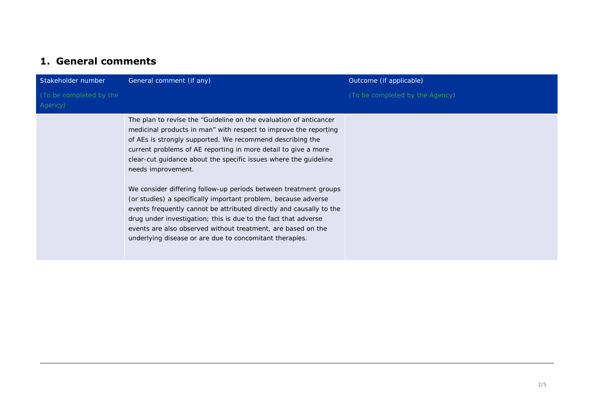## **1. General comments**

| Stakeholder number                 | General comment (if any)                                                                                                                                                                                                                                                                                                                                                                                                                                                                                                                                                                                                                                                                                                                                                 | Outcome (if applicable)         |
|------------------------------------|--------------------------------------------------------------------------------------------------------------------------------------------------------------------------------------------------------------------------------------------------------------------------------------------------------------------------------------------------------------------------------------------------------------------------------------------------------------------------------------------------------------------------------------------------------------------------------------------------------------------------------------------------------------------------------------------------------------------------------------------------------------------------|---------------------------------|
| (To be completed by the<br>Agency) |                                                                                                                                                                                                                                                                                                                                                                                                                                                                                                                                                                                                                                                                                                                                                                          | (To be completed by the Agency) |
|                                    | The plan to revise the "Guideline on the evaluation of anticancer<br>medicinal products in man" with respect to improve the reporting<br>of AEs is strongly supported. We recommend describing the<br>current problems of AE reporting in more detail to give a more<br>clear-cut guidance about the specific issues where the guideline<br>needs improvement.<br>We consider differing follow-up periods between treatment groups<br>(or studies) a specifically important problem, because adverse<br>events frequently cannot be attributed directly and causally to the<br>drug under investigation; this is due to the fact that adverse<br>events are also observed without treatment, are based on the<br>underlying disease or are due to concomitant therapies. |                                 |
|                                    |                                                                                                                                                                                                                                                                                                                                                                                                                                                                                                                                                                                                                                                                                                                                                                          |                                 |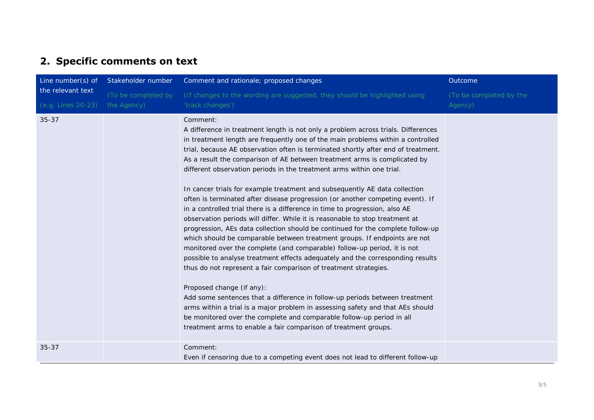## **2. Specific comments on text**

| Line number(s) of<br>the relevant text | Stakeholder number  | Comment and rationale; proposed changes                                                                                                                                                                                                                                                                                                                                                                                                                                                                                                                                                                                                                                                                                                                                                                                                                                                                                                                                                                                                                                                                                                                                                                                                                                                                                                                                                                                                                                                                | Outcome                 |
|----------------------------------------|---------------------|--------------------------------------------------------------------------------------------------------------------------------------------------------------------------------------------------------------------------------------------------------------------------------------------------------------------------------------------------------------------------------------------------------------------------------------------------------------------------------------------------------------------------------------------------------------------------------------------------------------------------------------------------------------------------------------------------------------------------------------------------------------------------------------------------------------------------------------------------------------------------------------------------------------------------------------------------------------------------------------------------------------------------------------------------------------------------------------------------------------------------------------------------------------------------------------------------------------------------------------------------------------------------------------------------------------------------------------------------------------------------------------------------------------------------------------------------------------------------------------------------------|-------------------------|
|                                        | (To be completed by | (If changes to the wording are suggested, they should be highlighted using                                                                                                                                                                                                                                                                                                                                                                                                                                                                                                                                                                                                                                                                                                                                                                                                                                                                                                                                                                                                                                                                                                                                                                                                                                                                                                                                                                                                                             | (To be completed by the |
| (e.g. Lines 20-23)                     | the Agency)         | 'track changes')                                                                                                                                                                                                                                                                                                                                                                                                                                                                                                                                                                                                                                                                                                                                                                                                                                                                                                                                                                                                                                                                                                                                                                                                                                                                                                                                                                                                                                                                                       | Agency)                 |
| $35 - 37$                              |                     | Comment:<br>A difference in treatment length is not only a problem across trials. Differences<br>in treatment length are frequently one of the main problems within a controlled<br>trial, because AE observation often is terminated shortly after end of treatment.<br>As a result the comparison of AE between treatment arms is complicated by<br>different observation periods in the treatment arms within one trial.<br>In cancer trials for example treatment and subsequently AE data collection<br>often is terminated after disease progression (or another competing event). If<br>in a controlled trial there is a difference in time to progression, also AE<br>observation periods will differ. While it is reasonable to stop treatment at<br>progression, AEs data collection should be continued for the complete follow-up<br>which should be comparable between treatment groups. If endpoints are not<br>monitored over the complete (and comparable) follow-up period, it is not<br>possible to analyse treatment effects adequately and the corresponding results<br>thus do not represent a fair comparison of treatment strategies.<br>Proposed change (if any):<br>Add some sentences that a difference in follow-up periods between treatment<br>arms within a trial is a major problem in assessing safety and that AEs should<br>be monitored over the complete and comparable follow-up period in all<br>treatment arms to enable a fair comparison of treatment groups. |                         |
| $35 - 37$                              |                     | Comment:<br>Even if censoring due to a competing event does not lead to different follow-up                                                                                                                                                                                                                                                                                                                                                                                                                                                                                                                                                                                                                                                                                                                                                                                                                                                                                                                                                                                                                                                                                                                                                                                                                                                                                                                                                                                                            |                         |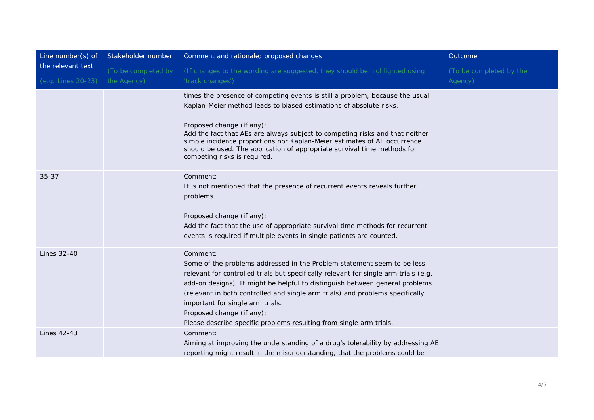| Line number(s) of<br>the relevant text<br>(e.g. Lines 20-23) | Stakeholder number                 | Comment and rationale; proposed changes                                                                                                                                                                                                                                                                                                                                                                                                                                              | Outcome                            |
|--------------------------------------------------------------|------------------------------------|--------------------------------------------------------------------------------------------------------------------------------------------------------------------------------------------------------------------------------------------------------------------------------------------------------------------------------------------------------------------------------------------------------------------------------------------------------------------------------------|------------------------------------|
|                                                              | (To be completed by<br>the Agency) | (If changes to the wording are suggested, they should be highlighted using<br>'track changes')                                                                                                                                                                                                                                                                                                                                                                                       | (To be completed by the<br>Agency) |
|                                                              |                                    | times the presence of competing events is still a problem, because the usual<br>Kaplan-Meier method leads to biased estimations of absolute risks.<br>Proposed change (if any):<br>Add the fact that AEs are always subject to competing risks and that neither<br>simple incidence proportions nor Kaplan-Meier estimates of AE occurrence<br>should be used. The application of appropriate survival time methods for<br>competing risks is required.                              |                                    |
| $35 - 37$                                                    |                                    | Comment:<br>It is not mentioned that the presence of recurrent events reveals further<br>problems.<br>Proposed change (if any):<br>Add the fact that the use of appropriate survival time methods for recurrent<br>events is required if multiple events in single patients are counted.                                                                                                                                                                                             |                                    |
| Lines 32-40                                                  |                                    | Comment:<br>Some of the problems addressed in the Problem statement seem to be less<br>relevant for controlled trials but specifically relevant for single arm trials (e.g.<br>add-on designs). It might be helpful to distinguish between general problems<br>(relevant in both controlled and single arm trials) and problems specifically<br>important for single arm trials.<br>Proposed change (if any):<br>Please describe specific problems resulting from single arm trials. |                                    |
| <b>Lines 42-43</b>                                           |                                    | Comment:<br>Aiming at improving the understanding of a drug's tolerability by addressing AE<br>reporting might result in the misunderstanding, that the problems could be                                                                                                                                                                                                                                                                                                            |                                    |